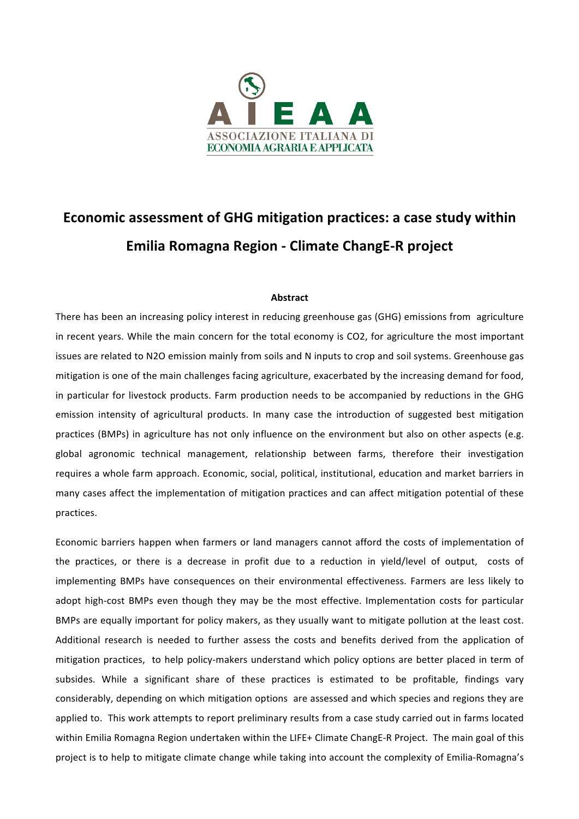

## **Economic assessment of GHG mitigation practices: a case study within Emilia Romagna Region - Climate ChangE-R project**

## **Abstract**

There has been an increasing policy interest in reducing greenhouse gas (GHG) emissions from agriculture in recent years. While the main concern for the total economy is CO2, for agriculture the most important issues are related to N2O emission mainly from soils and N inputs to crop and soil systems. Greenhouse gas mitigation is one of the main challenges facing agriculture, exacerbated by the increasing demand for food, in particular for livestock products. Farm production needs to be accompanied by reductions in the GHG emission intensity of agricultural products. In many case the introduction of suggested best mitigation practices (BMPs) in agriculture has not only influence on the environment but also on other aspects (e.g. global agronomic technical management, relationship between farms, therefore their investigation requires a whole farm approach. Economic, social, political, institutional, education and market barriers in many cases affect the implementation of mitigation practices and can affect mitigation potential of these practices.

Economic barriers happen when farmers or land managers cannot afford the costs of implementation of the practices, or there is a decrease in profit due to a reduction in yield/level of output, costs of implementing BMPs have consequences on their environmental effectiveness. Farmers are less likely to adopt high-cost BMPs even though they may be the most effective. Implementation costs for particular BMPs are equally important for policy makers, as they usually want to mitigate pollution at the least cost. Additional research is needed to further assess the costs and benefits derived from the application of mitigation practices, to help policy-makers understand which policy options are better placed in term of subsides. While a significant share of these practices is estimated to be profitable, findings vary considerably, depending on which mitigation options are assessed and which species and regions they are applied to. This work attempts to report preliminary results from a case study carried out in farms located within Emilia Romagna Region undertaken within the LIFE+ Climate ChangE-R Project. The main goal of this project is to help to mitigate climate change while taking into account the complexity of Emilia-Romagna's